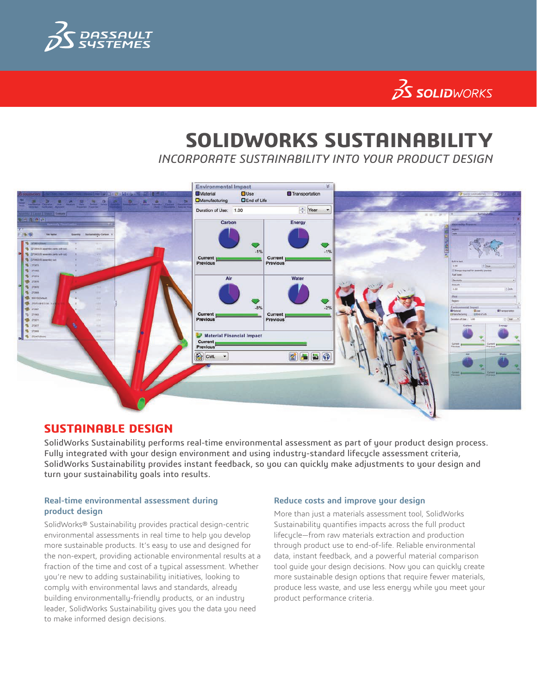

# $35$  SOLIDWORKS

# **SOLIDWORKS SUSTAINABILITY**

*INCORPORATE SUSTAINABILITY INTO YOUR PRODUCT DESIGN*



## **SUSTAINABLE DESIGN**

SolidWorks Sustainability performs real-time environmental assessment as part of your product design process. Fully integrated with your design environment and using industry-standard lifecycle assessment criteria, SolidWorks Sustainability provides instant feedback, so you can quickly make adjustments to your design and turn your sustainability goals into results.

#### **Real-time environmental assessment during product design**

SolidWorks® Sustainability provides practical design-centric environmental assessments in real time to help you develop more sustainable products. It's easy to use and designed for the non-expert, providing actionable environmental results at a fraction of the time and cost of a typical assessment. Whether you're new to adding sustainability initiatives, looking to comply with environmental laws and standards, already building environmentally-friendly products, or an industry leader, SolidWorks Sustainability gives you the data you need to make informed design decisions.

#### **Reduce costs and improve your design**

More than just a materials assessment tool, SolidWorks Sustainability quantifies impacts across the full product lifecycle—from raw materials extraction and production through product use to end-of-life. Reliable environmental data, instant feedback, and a powerful material comparison tool guide your design decisions. Now you can quickly create more sustainable design options that require fewer materials, produce less waste, and use less energy while you meet your product performance criteria.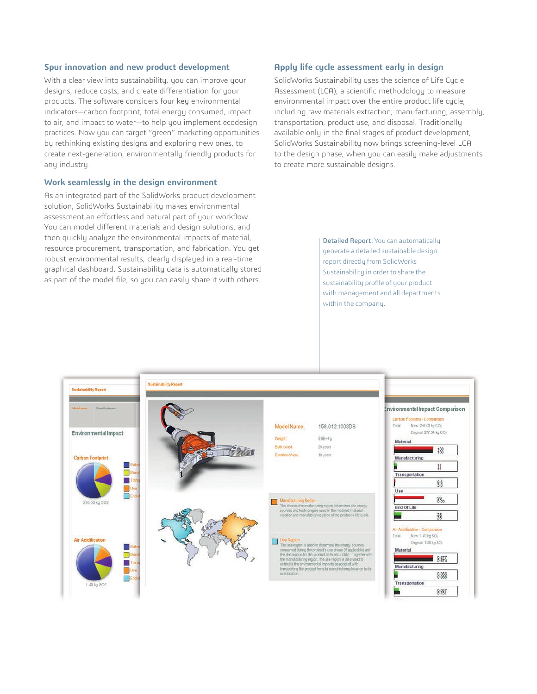#### **Spur innovation and new product development**

With a clear view into sustainability, you can improve your designs, reduce costs, and create differentiation for your products. The software considers four key environmental indicators—carbon footprint, total energy consumed, impact to air, and impact to water—to help you implement ecodesign practices. Now you can target "green" marketing opportunities by rethinking existing designs and exploring new ones, to create next-generation, environmentally friendly products for any industry.

#### **Work seamlessly in the design environment**

As an integrated part of the SolidWorks product development solution, SolidWorks Sustainability makes environmental assessment an effortless and natural part of your workflow. You can model different materials and design solutions, and then quickly analyze the environmental impacts of material, resource procurement, transportation, and fabrication. You get robust environmental results, clearly displayed in a real-time graphical dashboard. Sustainability data is automatically stored as part of the model file, so you can easily share it with others.

#### **Apply life cycle assessment early in design**

SolidWorks Sustainability uses the science of Life Cycle Assessment (LCA), a scientific methodology to measure environmental impact over the entire product life cycle, including raw materials extraction, manufacturing, assembly, transportation, product use, and disposal. Traditionally available only in the final stages of product development, SolidWorks Sustainability now brings screening-level LCA to the design phase, when you can easily make adjustments to create more sustainable designs.

> Detailed Report. You can automatically generate a detailed sustainable design report directly from SolidWorks Sustainability in order to share the sustainability profile of your product with management and all departments within the company.

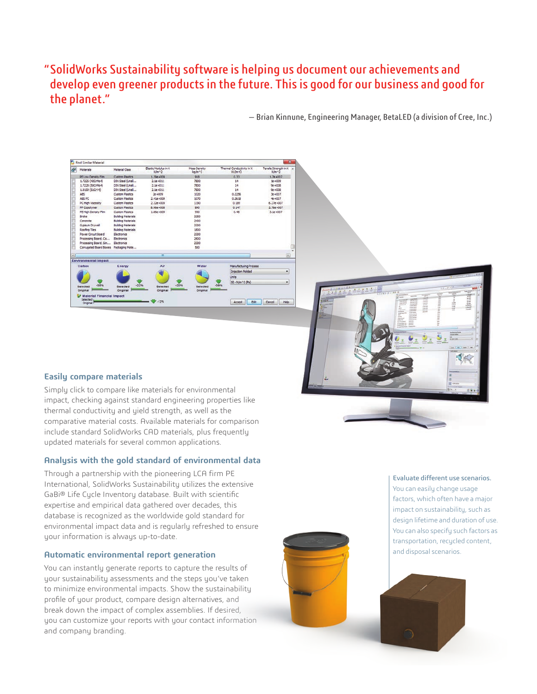# "SolidWorks Sustainability software is helping us document our achievements and develop even greener products in the future. This is good for our business and good for the planet."

— Brian Kinnune, Engineering Manager, BetaLED (a division of Cree, Inc.)



#### **Easily compare materials**

Simply click to compare like materials for environmental impact, checking against standard engineering properties like thermal conductivity and yield strength, as well as the comparative material costs. Available materials for comparison include standard SolidWorks CAD materials, plus frequently updated materials for several common applications.

#### **Analysis with the gold standard of environmental data**

Through a partnership with the pioneering LCA firm PE International, SolidWorks Sustainability utilizes the extensive GaBi® Life Cycle Inventory database. Built with scientific expertise and empirical data gathered over decades, this database is recognized as the worldwide gold standard for environmental impact data and is regularly refreshed to ensure your information is always up-to-date.

#### **Automatic environmental report generation**

You can instantly generate reports to capture the results of your sustainability assessments and the steps you've taken to minimize environmental impacts. Show the sustainability profile of your product, compare design alternatives, and break down the impact of complex assemblies. If desired, you can customize your reports with your contact information and company branding.



#### Evaluate different use scenarios. You can easily change usage factors, which often have a major impact on sustainability, such as design lifetime and duration of use. You can also specify such factors as transportation, recycled content, and disposal scenarios.

慢的